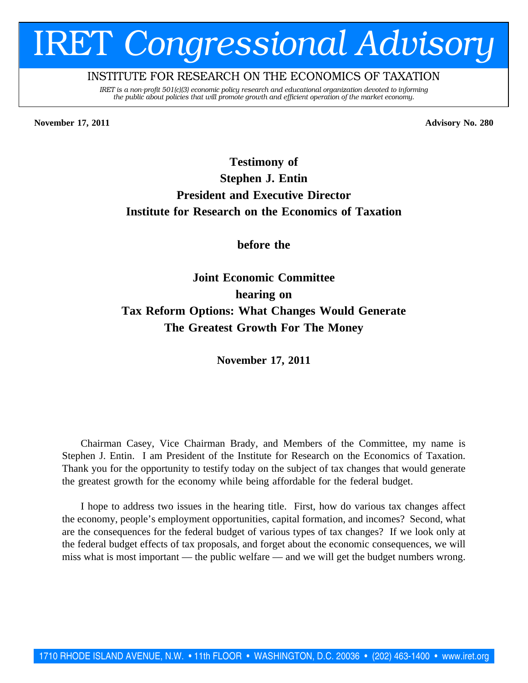# IRET *Congressional Advisory*

# INSTITUTE FOR RESEARCH ON THE ECONOMICS OF TAXATION

*IRET is a non-profit 501(c)(3) economic policy research and educational organization devoted to informing the public about policies that will promote growth and efficient operation of the market economy.*

**November 17, 2011 Advisory No. 280**

# **Testimony of Stephen J. Entin President and Executive Director Institute for Research on the Economics of Taxation**

**before the**

**Joint Economic Committee hearing on Tax Reform Options: What Changes Would Generate The Greatest Growth For The Money**

**November 17, 2011**

Chairman Casey, Vice Chairman Brady, and Members of the Committee, my name is Stephen J. Entin. I am President of the Institute for Research on the Economics of Taxation. Thank you for the opportunity to testify today on the subject of tax changes that would generate the greatest growth for the economy while being affordable for the federal budget.

I hope to address two issues in the hearing title. First, how do various tax changes affect the economy, people's employment opportunities, capital formation, and incomes? Second, what are the consequences for the federal budget of various types of tax changes? If we look only at the federal budget effects of tax proposals, and forget about the economic consequences, we will miss what is most important — the public welfare — and we will get the budget numbers wrong.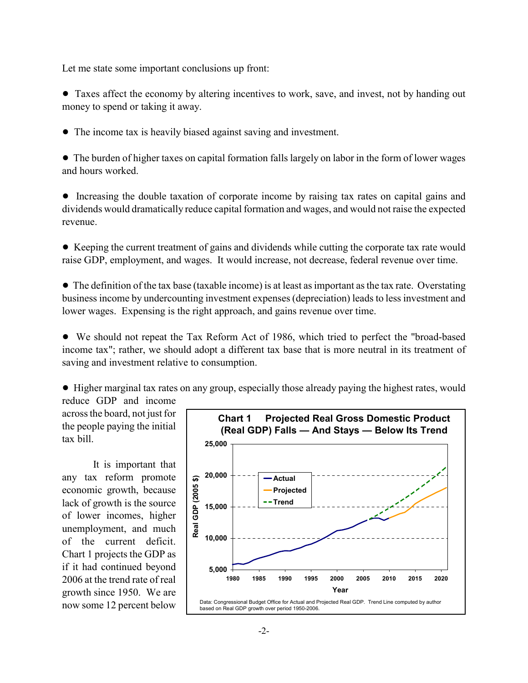Let me state some important conclusions up front:

! Taxes affect the economy by altering incentives to work, save, and invest, not by handing out money to spend or taking it away.

• The income tax is heavily biased against saving and investment.

! The burden of higher taxes on capital formation falls largely on labor in the form of lower wages and hours worked.

! Increasing the double taxation of corporate income by raising tax rates on capital gains and dividends would dramatically reduce capital formation and wages, and would not raise the expected revenue.

! Keeping the current treatment of gains and dividends while cutting the corporate tax rate would raise GDP, employment, and wages. It would increase, not decrease, federal revenue over time.

• The definition of the tax base (taxable income) is at least as important as the tax rate. Overstating business income by undercounting investment expenses (depreciation) leads to less investment and lower wages. Expensing is the right approach, and gains revenue over time.

! We should not repeat the Tax Reform Act of 1986, which tried to perfect the "broad-based income tax"; rather, we should adopt a different tax base that is more neutral in its treatment of saving and investment relative to consumption.

! Higher marginal tax rates on any group, especially those already paying the highest rates, would reduce GDP and income

across the board, not just for the people paying the initial tax bill.

It is important that any tax reform promote economic growth, because lack of growth is the source of lower incomes, higher unemployment, and much of the current deficit. Chart 1 projects the GDP as if it had continued beyond 2006 at the trend rate of real growth since 1950. We are now some 12 percent below

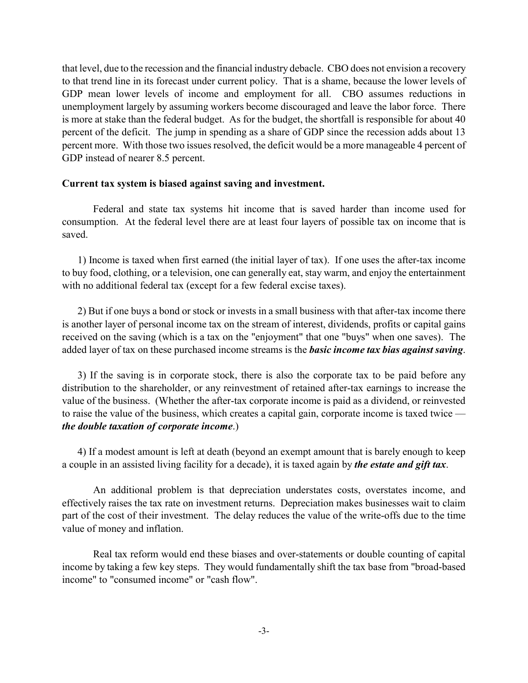that level, due to the recession and the financial industry debacle. CBO does not envision a recovery to that trend line in its forecast under current policy. That is a shame, because the lower levels of GDP mean lower levels of income and employment for all. CBO assumes reductions in unemployment largely by assuming workers become discouraged and leave the labor force. There is more at stake than the federal budget. As for the budget, the shortfall is responsible for about 40 percent of the deficit. The jump in spending as a share of GDP since the recession adds about 13 percent more. With those two issues resolved, the deficit would be a more manageable 4 percent of GDP instead of nearer 8.5 percent.

#### **Current tax system is biased against saving and investment.**

Federal and state tax systems hit income that is saved harder than income used for consumption. At the federal level there are at least four layers of possible tax on income that is saved.

1) Income is taxed when first earned (the initial layer of tax). If one uses the after-tax income to buy food, clothing, or a television, one can generally eat, stay warm, and enjoy the entertainment with no additional federal tax (except for a few federal excise taxes).

2) But if one buys a bond or stock or invests in a small business with that after-tax income there is another layer of personal income tax on the stream of interest, dividends, profits or capital gains received on the saving (which is a tax on the "enjoyment" that one "buys" when one saves). The added layer of tax on these purchased income streams is the *basic income tax bias against saving*.

3) If the saving is in corporate stock, there is also the corporate tax to be paid before any distribution to the shareholder, or any reinvestment of retained after-tax earnings to increase the value of the business. (Whether the after-tax corporate income is paid as a dividend, or reinvested to raise the value of the business, which creates a capital gain, corporate income is taxed twice  $\overline{\phantom{a}}$ *the double taxation of corporate income*.)

4) If a modest amount is left at death (beyond an exempt amount that is barely enough to keep a couple in an assisted living facility for a decade), it is taxed again by *the estate and gift tax*.

An additional problem is that depreciation understates costs, overstates income, and effectively raises the tax rate on investment returns. Depreciation makes businesses wait to claim part of the cost of their investment. The delay reduces the value of the write-offs due to the time value of money and inflation.

Real tax reform would end these biases and over-statements or double counting of capital income by taking a few key steps. They would fundamentally shift the tax base from "broad-based income" to "consumed income" or "cash flow".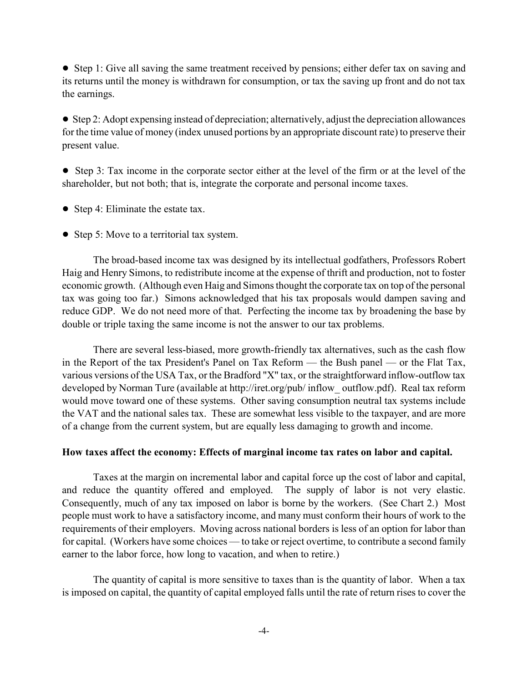• Step 1: Give all saving the same treatment received by pensions; either defer tax on saving and its returns until the money is withdrawn for consumption, or tax the saving up front and do not tax the earnings.

! Step 2: Adopt expensing instead of depreciation; alternatively, adjust the depreciation allowances for the time value of money (index unused portions by an appropriate discount rate) to preserve their present value.

! Step 3: Tax income in the corporate sector either at the level of the firm or at the level of the shareholder, but not both; that is, integrate the corporate and personal income taxes.

- Step 4: Eliminate the estate tax.
- Step 5: Move to a territorial tax system.

The broad-based income tax was designed by its intellectual godfathers, Professors Robert Haig and Henry Simons, to redistribute income at the expense of thrift and production, not to foster economic growth. (Although even Haig and Simons thought the corporate tax on top of the personal tax was going too far.) Simons acknowledged that his tax proposals would dampen saving and reduce GDP. We do not need more of that. Perfecting the income tax by broadening the base by double or triple taxing the same income is not the answer to our tax problems.

There are several less-biased, more growth-friendly tax alternatives, such as the cash flow in the Report of the tax President's Panel on Tax Reform  $-$  the Bush panel  $-$  or the Flat Tax, various versions of the USA Tax, or the Bradford "X" tax, or the straightforward inflow-outflow tax developed by Norman Ture (available at http://iret.org/pub/ inflow\_ outflow.pdf). Real tax reform would move toward one of these systems. Other saving consumption neutral tax systems include the VAT and the national sales tax. These are somewhat less visible to the taxpayer, and are more of a change from the current system, but are equally less damaging to growth and income.

# **How taxes affect the economy: Effects of marginal income tax rates on labor and capital.**

Taxes at the margin on incremental labor and capital force up the cost of labor and capital, and reduce the quantity offered and employed. The supply of labor is not very elastic. Consequently, much of any tax imposed on labor is borne by the workers. (See Chart 2.) Most people must work to have a satisfactory income, and many must conform their hours of work to the requirements of their employers. Moving across national borders is less of an option for labor than for capital. (Workers have some choices — to take or reject overtime, to contribute a second family earner to the labor force, how long to vacation, and when to retire.)

The quantity of capital is more sensitive to taxes than is the quantity of labor. When a tax is imposed on capital, the quantity of capital employed falls until the rate of return rises to cover the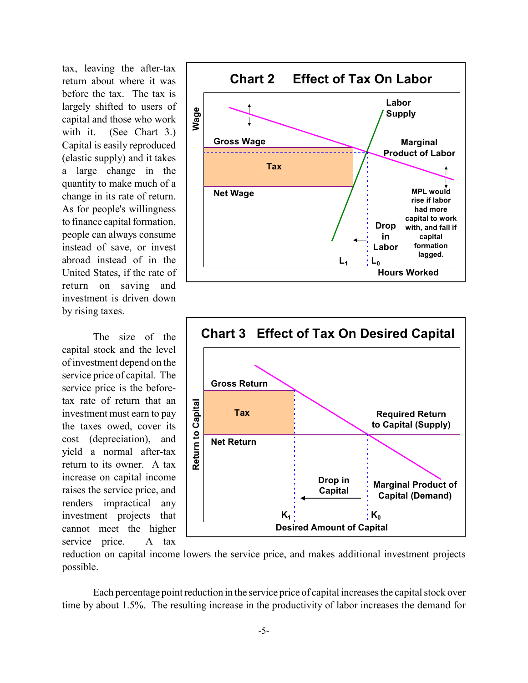tax, leaving the after-tax return about where it was before the tax. The tax is largely shifted to users of capital and those who work with it. (See Chart 3.) Capital is easily reproduced (elastic supply) and it takes a large change in the quantity to make much of a change in its rate of return. As for people's willingness to finance capital formation, people can always consume instead of save, or invest abroad instead of in the United States, if the rate of return on saving and investment is driven down by rising taxes.

The size of the capital stock and the level of investment depend on the service price of capital. The service price is the beforetax rate of return that an investment must earn to pay the taxes owed, cover its cost (depreciation), and yield a normal after-tax return to its owner. A tax increase on capital income raises the service price, and renders impractical any investment projects that cannot meet the higher service price. A tax





reduction on capital income lowers the service price, and makes additional investment projects possible.

Each percentage point reduction in the service price of capital increases the capital stock over time by about 1.5%. The resulting increase in the productivity of labor increases the demand for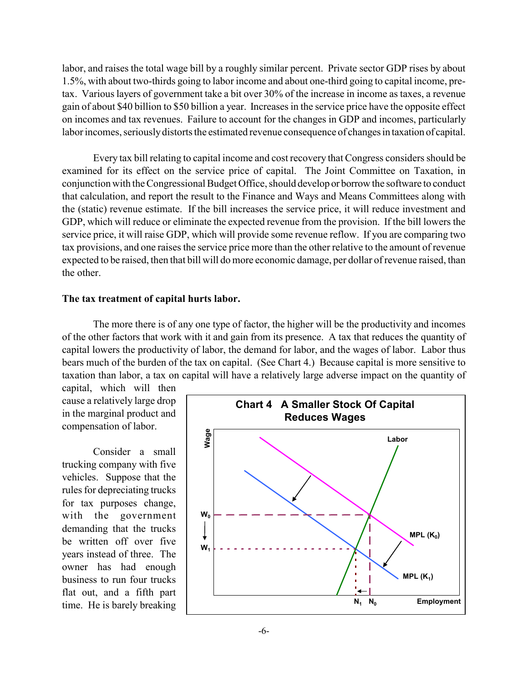labor, and raises the total wage bill by a roughly similar percent. Private sector GDP rises by about 1.5%, with about two-thirds going to labor income and about one-third going to capital income, pretax. Various layers of government take a bit over 30% of the increase in income as taxes, a revenue gain of about \$40 billion to \$50 billion a year. Increases in the service price have the opposite effect on incomes and tax revenues. Failure to account for the changes in GDP and incomes, particularly labor incomes, seriously distorts the estimated revenue consequence of changes in taxation of capital.

Every tax bill relating to capital income and cost recovery that Congress considers should be examined for its effect on the service price of capital. The Joint Committee on Taxation, in conjunction with the Congressional Budget Office, should develop or borrow the software to conduct that calculation, and report the result to the Finance and Ways and Means Committees along with the (static) revenue estimate. If the bill increases the service price, it will reduce investment and GDP, which will reduce or eliminate the expected revenue from the provision. If the bill lowers the service price, it will raise GDP, which will provide some revenue reflow. If you are comparing two tax provisions, and one raises the service price more than the other relative to the amount of revenue expected to be raised, then that bill will do more economic damage, per dollar of revenue raised, than the other.

#### **The tax treatment of capital hurts labor.**

The more there is of any one type of factor, the higher will be the productivity and incomes of the other factors that work with it and gain from its presence. A tax that reduces the quantity of capital lowers the productivity of labor, the demand for labor, and the wages of labor. Labor thus bears much of the burden of the tax on capital. (See Chart 4.) Because capital is more sensitive to taxation than labor, a tax on capital will have a relatively large adverse impact on the quantity of

capital, which will then cause a relatively large drop in the marginal product and compensation of labor.

Consider a small trucking company with five vehicles. Suppose that the rules for depreciating trucks for tax purposes change, with the government demanding that the trucks be written off over five years instead of three. The owner has had enough business to run four trucks flat out, and a fifth part time. He is barely breaking

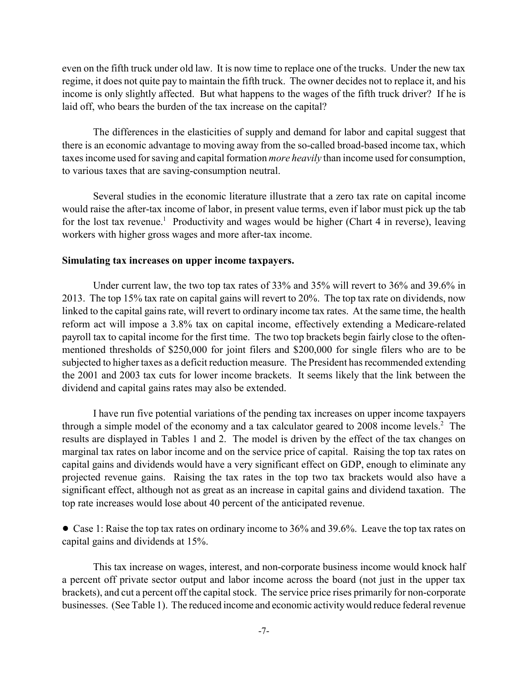even on the fifth truck under old law. It is now time to replace one of the trucks. Under the new tax regime, it does not quite pay to maintain the fifth truck. The owner decides not to replace it, and his income is only slightly affected. But what happens to the wages of the fifth truck driver? If he is laid off, who bears the burden of the tax increase on the capital?

The differences in the elasticities of supply and demand for labor and capital suggest that there is an economic advantage to moving away from the so-called broad-based income tax, which taxes income used for saving and capital formation *more heavily* than income used for consumption, to various taxes that are saving-consumption neutral.

Several studies in the economic literature illustrate that a zero tax rate on capital income would raise the after-tax income of labor, in present value terms, even if labor must pick up the tab for the lost tax revenue.<sup>1</sup> Productivity and wages would be higher (Chart 4 in reverse), leaving workers with higher gross wages and more after-tax income.

#### **Simulating tax increases on upper income taxpayers.**

Under current law, the two top tax rates of 33% and 35% will revert to 36% and 39.6% in 2013. The top 15% tax rate on capital gains will revert to 20%. The top tax rate on dividends, now linked to the capital gains rate, will revert to ordinary income tax rates. At the same time, the health reform act will impose a 3.8% tax on capital income, effectively extending a Medicare-related payroll tax to capital income for the first time. The two top brackets begin fairly close to the oftenmentioned thresholds of \$250,000 for joint filers and \$200,000 for single filers who are to be subjected to higher taxes as a deficit reduction measure. The President has recommended extending the 2001 and 2003 tax cuts for lower income brackets. It seems likely that the link between the dividend and capital gains rates may also be extended.

I have run five potential variations of the pending tax increases on upper income taxpayers through a simple model of the economy and a tax calculator geared to  $2008$  income levels.<sup>2</sup> The results are displayed in Tables 1 and 2. The model is driven by the effect of the tax changes on marginal tax rates on labor income and on the service price of capital. Raising the top tax rates on capital gains and dividends would have a very significant effect on GDP, enough to eliminate any projected revenue gains. Raising the tax rates in the top two tax brackets would also have a significant effect, although not as great as an increase in capital gains and dividend taxation. The top rate increases would lose about 40 percent of the anticipated revenue.

• Case 1: Raise the top tax rates on ordinary income to 36% and 39.6%. Leave the top tax rates on capital gains and dividends at 15%.

This tax increase on wages, interest, and non-corporate business income would knock half a percent off private sector output and labor income across the board (not just in the upper tax brackets), and cut a percent off the capital stock. The service price rises primarily for non-corporate businesses. (See Table 1). The reduced income and economic activity would reduce federal revenue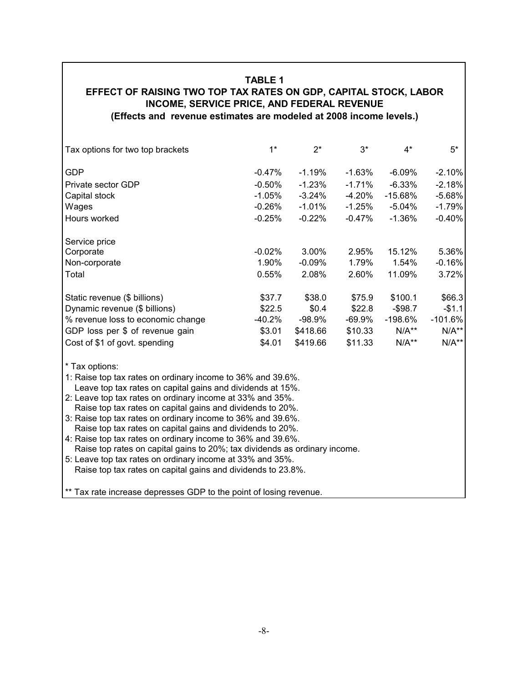# **TABLE 1**

# **EFFECT OF RAISING TWO TOP TAX RATES ON GDP, CAPITAL STOCK, LABOR INCOME, SERVICE PRICE, AND FEDERAL REVENUE (Effects and revenue estimates are modeled at 2008 income levels.)**

| Tax options for two top brackets                                                                                          | $1*$     | $2^*$    | $3*$     | $4*$       | $5*$      |  |  |
|---------------------------------------------------------------------------------------------------------------------------|----------|----------|----------|------------|-----------|--|--|
| <b>GDP</b>                                                                                                                | $-0.47%$ | $-1.19%$ | -1.63%   | $-6.09\%$  | $-2.10%$  |  |  |
| Private sector GDP                                                                                                        | $-0.50%$ | $-1.23%$ | $-1.71%$ | $-6.33\%$  | $-2.18%$  |  |  |
| Capital stock                                                                                                             | $-1.05%$ | $-3.24%$ | $-4.20%$ | $-15.68%$  | $-5.68%$  |  |  |
| Wages                                                                                                                     | $-0.26%$ | $-1.01%$ | $-1.25%$ | $-5.04%$   | $-1.79%$  |  |  |
| Hours worked                                                                                                              | $-0.25%$ | $-0.22%$ | $-0.47%$ | $-1.36%$   | $-0.40%$  |  |  |
| Service price                                                                                                             |          |          |          |            |           |  |  |
| Corporate                                                                                                                 | $-0.02%$ | 3.00%    | 2.95%    | 15.12%     | 5.36%     |  |  |
| Non-corporate                                                                                                             | 1.90%    | $-0.09%$ | 1.79%    | 1.54%      | $-0.16%$  |  |  |
| Total                                                                                                                     | 0.55%    | 2.08%    | 2.60%    | 11.09%     | 3.72%     |  |  |
| Static revenue (\$ billions)                                                                                              | \$37.7   | \$38.0   | \$75.9   | \$100.1    | \$66.3    |  |  |
| Dynamic revenue (\$ billions)                                                                                             | \$22.5   | \$0.4    | \$22.8   | $-$ \$98.7 | $-$1.1$   |  |  |
| % revenue loss to economic change                                                                                         | $-40.2%$ | $-98.9%$ | -69.9%   | $-198.6\%$ | $-101.6%$ |  |  |
| GDP loss per \$ of revenue gain                                                                                           | \$3.01   | \$418.66 | \$10.33  | $N/A**$    | $N/A**$   |  |  |
| Cost of \$1 of govt. spending                                                                                             | \$4.01   | \$419.66 | \$11.33  | $N/A**$    | $N/A**$   |  |  |
| * Tax options:                                                                                                            |          |          |          |            |           |  |  |
| 1: Raise top tax rates on ordinary income to 36% and 39.6%.                                                               |          |          |          |            |           |  |  |
| Leave top tax rates on capital gains and dividends at 15%.                                                                |          |          |          |            |           |  |  |
| 2: Leave top tax rates on ordinary income at 33% and 35%.                                                                 |          |          |          |            |           |  |  |
| Raise top tax rates on capital gains and dividends to 20%.                                                                |          |          |          |            |           |  |  |
| 3: Raise top tax rates on ordinary income to 36% and 39.6%.                                                               |          |          |          |            |           |  |  |
| Raise top tax rates on capital gains and dividends to 20%.<br>4: Raise top tax rates on ordinary income to 36% and 39.6%. |          |          |          |            |           |  |  |
| Raise top rates on capital gains to 20%; tax dividends as ordinary income.                                                |          |          |          |            |           |  |  |
| 5: Leave top tax rates on ordinary income at 33% and 35%.                                                                 |          |          |          |            |           |  |  |
| Raise top tax rates on capital gains and dividends to 23.8%.                                                              |          |          |          |            |           |  |  |
|                                                                                                                           |          |          |          |            |           |  |  |

\*\* Tax rate increase depresses GDP to the point of losing revenue.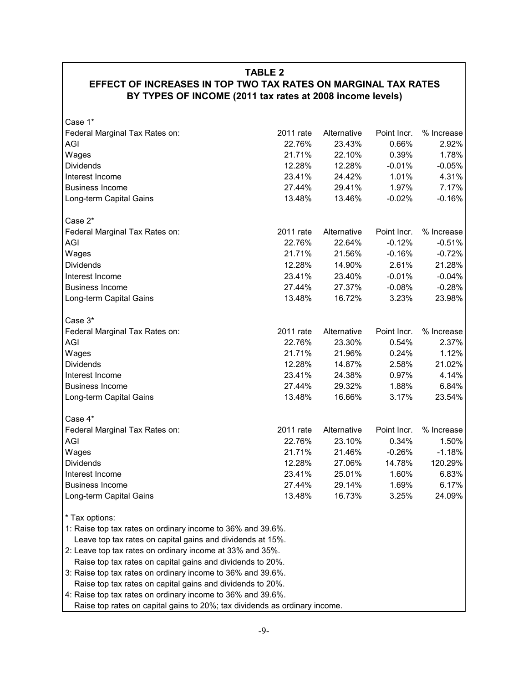|  |  | <b>TABLE 2</b> |  |  |  |
|--|--|----------------|--|--|--|
|  |  |                |  |  |  |

# **EFFECT OF INCREASES IN TOP TWO TAX RATES ON MARGINAL TAX RATES BY TYPES OF INCOME (2011 tax rates at 2008 income levels)**

| Case 1*                                                                    |           |             |             |            |  |  |
|----------------------------------------------------------------------------|-----------|-------------|-------------|------------|--|--|
| Federal Marginal Tax Rates on:                                             | 2011 rate | Alternative | Point Incr. | % Increase |  |  |
| AGI                                                                        | 22.76%    | 23.43%      | 0.66%       | 2.92%      |  |  |
| Wages                                                                      | 21.71%    | 22.10%      | 0.39%       | 1.78%      |  |  |
| <b>Dividends</b>                                                           | 12.28%    | 12.28%      | $-0.01%$    | $-0.05%$   |  |  |
| Interest Income                                                            | 23.41%    | 24.42%      | 1.01%       | 4.31%      |  |  |
| <b>Business Income</b>                                                     | 27.44%    | 29.41%      | 1.97%       | 7.17%      |  |  |
| Long-term Capital Gains                                                    | 13.48%    | 13.46%      | $-0.02%$    | $-0.16%$   |  |  |
|                                                                            |           |             |             |            |  |  |
| Case 2*                                                                    |           |             |             |            |  |  |
| Federal Marginal Tax Rates on:                                             | 2011 rate | Alternative | Point Incr. | % Increase |  |  |
| AGI                                                                        | 22.76%    | 22.64%      | $-0.12%$    | $-0.51%$   |  |  |
| Wages                                                                      | 21.71%    | 21.56%      | $-0.16%$    | $-0.72%$   |  |  |
| <b>Dividends</b>                                                           | 12.28%    | 14.90%      | 2.61%       | 21.28%     |  |  |
| Interest Income                                                            | 23.41%    | 23.40%      | $-0.01%$    | $-0.04%$   |  |  |
| <b>Business Income</b>                                                     | 27.44%    | 27.37%      | $-0.08%$    | $-0.28%$   |  |  |
| Long-term Capital Gains                                                    | 13.48%    | 16.72%      | 3.23%       | 23.98%     |  |  |
|                                                                            |           |             |             |            |  |  |
| Case 3*                                                                    |           |             |             |            |  |  |
| Federal Marginal Tax Rates on:                                             | 2011 rate | Alternative | Point Incr. | % Increase |  |  |
| AGI                                                                        | 22.76%    | 23.30%      | 0.54%       | 2.37%      |  |  |
| Wages                                                                      | 21.71%    | 21.96%      | 0.24%       | 1.12%      |  |  |
| <b>Dividends</b>                                                           | 12.28%    | 14.87%      | 2.58%       | 21.02%     |  |  |
| Interest Income                                                            | 23.41%    | 24.38%      | 0.97%       | 4.14%      |  |  |
| <b>Business Income</b>                                                     | 27.44%    | 29.32%      | 1.88%       | 6.84%      |  |  |
| Long-term Capital Gains                                                    | 13.48%    | 16.66%      | 3.17%       | 23.54%     |  |  |
|                                                                            |           |             |             |            |  |  |
| Case 4*                                                                    |           |             |             |            |  |  |
| Federal Marginal Tax Rates on:                                             | 2011 rate | Alternative | Point Incr. | % Increase |  |  |
| AGI                                                                        | 22.76%    | 23.10%      | 0.34%       | 1.50%      |  |  |
| Wages                                                                      | 21.71%    | 21.46%      | $-0.26%$    | $-1.18%$   |  |  |
| <b>Dividends</b>                                                           | 12.28%    | 27.06%      | 14.78%      | 120.29%    |  |  |
| Interest Income                                                            | 23.41%    | 25.01%      | 1.60%       | 6.83%      |  |  |
| <b>Business Income</b>                                                     | 27.44%    | 29.14%      | 1.69%       | 6.17%      |  |  |
| Long-term Capital Gains                                                    | 13.48%    | 16.73%      | 3.25%       | 24.09%     |  |  |
| * Tax options:                                                             |           |             |             |            |  |  |
| 1: Raise top tax rates on ordinary income to 36% and 39.6%.                |           |             |             |            |  |  |
| Leave top tax rates on capital gains and dividends at 15%.                 |           |             |             |            |  |  |
| 2: Leave top tax rates on ordinary income at 33% and 35%.                  |           |             |             |            |  |  |
| Raise top tax rates on capital gains and dividends to 20%.                 |           |             |             |            |  |  |
| 3: Raise top tax rates on ordinary income to 36% and 39.6%.                |           |             |             |            |  |  |
| Raise top tax rates on capital gains and dividends to 20%.                 |           |             |             |            |  |  |
| 4: Raise top tax rates on ordinary income to 36% and 39.6%.                |           |             |             |            |  |  |
| Raise top rates on capital gains to 20%; tax dividends as ordinary income. |           |             |             |            |  |  |
|                                                                            |           |             |             |            |  |  |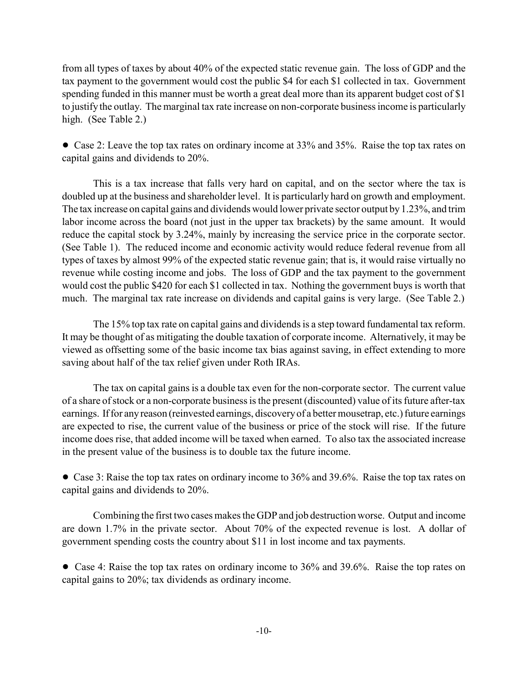from all types of taxes by about 40% of the expected static revenue gain. The loss of GDP and the tax payment to the government would cost the public \$4 for each \$1 collected in tax. Government spending funded in this manner must be worth a great deal more than its apparent budget cost of \$1 to justify the outlay. The marginal tax rate increase on non-corporate business income is particularly high. (See Table 2.)

• Case 2: Leave the top tax rates on ordinary income at 33% and 35%. Raise the top tax rates on capital gains and dividends to 20%.

This is a tax increase that falls very hard on capital, and on the sector where the tax is doubled up at the business and shareholder level. It is particularly hard on growth and employment. The tax increase on capital gains and dividends would lower private sector output by 1.23%, and trim labor income across the board (not just in the upper tax brackets) by the same amount. It would reduce the capital stock by 3.24%, mainly by increasing the service price in the corporate sector. (See Table 1). The reduced income and economic activity would reduce federal revenue from all types of taxes by almost 99% of the expected static revenue gain; that is, it would raise virtually no revenue while costing income and jobs. The loss of GDP and the tax payment to the government would cost the public \$420 for each \$1 collected in tax. Nothing the government buys is worth that much. The marginal tax rate increase on dividends and capital gains is very large. (See Table 2.)

The 15% top tax rate on capital gains and dividends is a step toward fundamental tax reform. It may be thought of as mitigating the double taxation of corporate income. Alternatively, it may be viewed as offsetting some of the basic income tax bias against saving, in effect extending to more saving about half of the tax relief given under Roth IRAs.

The tax on capital gains is a double tax even for the non-corporate sector. The current value of a share of stock or a non-corporate business is the present (discounted) value of its future after-tax earnings. If for any reason (reinvested earnings, discovery of a better mousetrap, etc.) future earnings are expected to rise, the current value of the business or price of the stock will rise. If the future income does rise, that added income will be taxed when earned. To also tax the associated increase in the present value of the business is to double tax the future income.

• Case 3: Raise the top tax rates on ordinary income to 36% and 39.6%. Raise the top tax rates on capital gains and dividends to 20%.

Combining the first two cases makes the GDP and job destruction worse. Output and income are down 1.7% in the private sector. About 70% of the expected revenue is lost. A dollar of government spending costs the country about \$11 in lost income and tax payments.

• Case 4: Raise the top tax rates on ordinary income to 36% and 39.6%. Raise the top rates on capital gains to 20%; tax dividends as ordinary income.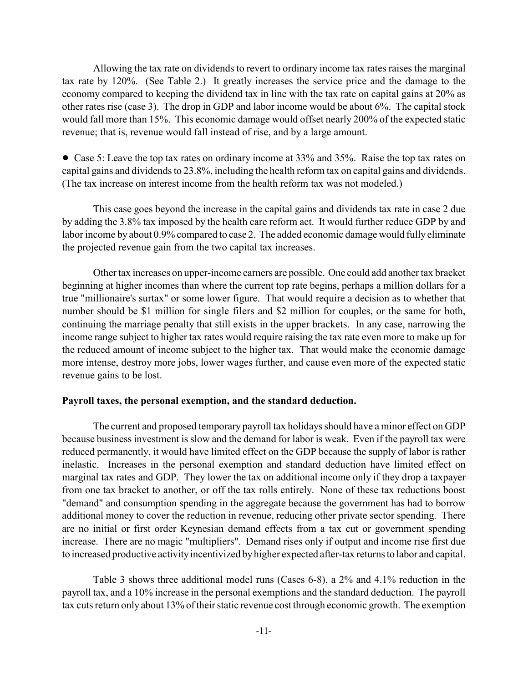Allowing the tax rate on dividends to revert to ordinary income tax rates raises the marginal tax rate by 120%. (See Table 2.) It greatly increases the service price and the damage to the economy compared to keeping the dividend tax in line with the tax rate on capital gains at 20% as other rates rise (case 3). The drop in GDP and labor income would be about 6%. The capital stock would fall more than 15%. This economic damage would offset nearly 200% of the expected static revenue; that is, revenue would fall instead of rise, and by a large amount.

• Case 5: Leave the top tax rates on ordinary income at 33% and 35%. Raise the top tax rates on capital gains and dividends to 23.8%, including the health reform tax on capital gains and dividends. (The tax increase on interest income from the health reform tax was not modeled.)

This case goes beyond the increase in the capital gains and dividends tax rate in case 2 due by adding the 3.8% tax imposed by the health care reform act. It would further reduce GDP by and labor income by about 0.9% compared to case 2. The added economic damage would fully eliminate the projected revenue gain from the two capital tax increases.

Other tax increases on upper-income earners are possible. One could add another tax bracket beginning at higher incomes than where the current top rate begins, perhaps a million dollars for a true "millionaire's surtax" or some lower figure. That would require a decision as to whether that number should be \$1 million for single filers and \$2 million for couples, or the same for both, continuing the marriage penalty that still exists in the upper brackets. In any case, narrowing the income range subject to higher tax rates would require raising the tax rate even more to make up for the reduced amount of income subject to the higher tax. That would make the economic damage more intense, destroy more jobs, lower wages further, and cause even more of the expected static revenue gains to be lost.

#### **Payroll taxes, the personal exemption, and the standard deduction.**

The current and proposed temporary payroll tax holidays should have a minor effect on GDP because business investment is slow and the demand for labor is weak. Even if the payroll tax were reduced permanently, it would have limited effect on the GDP because the supply of labor is rather inelastic. Increases in the personal exemption and standard deduction have limited effect on marginal tax rates and GDP. They lower the tax on additional income only if they drop a taxpayer from one tax bracket to another, or off the tax rolls entirely. None of these tax reductions boost "demand" and consumption spending in the aggregate because the government has had to borrow additional money to cover the reduction in revenue, reducing other private sector spending. There are no initial or first order Keynesian demand effects from a tax cut or government spending increase. There are no magic "multipliers". Demand rises only if output and income rise first due to increased productive activity incentivized by higher expected after-tax returns to labor and capital.

Table 3 shows three additional model runs (Cases 6-8), a 2% and 4.1% reduction in the payroll tax, and a 10% increase in the personal exemptions and the standard deduction. The payroll tax cuts return only about 13% of their static revenue cost through economic growth. The exemption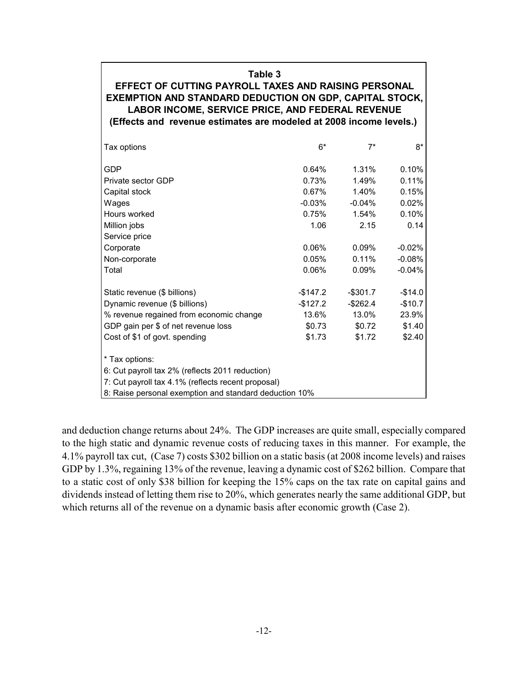## **Table 3**

**EFFECT OF CUTTING PAYROLL TAXES AND RAISING PERSONAL EXEMPTION AND STANDARD DEDUCTION ON GDP, CAPITAL STOCK, LABOR INCOME, SERVICE PRICE, AND FEDERAL REVENUE (Effects and revenue estimates are modeled at 2008 income levels.)** 

| Tax options                                            | $6*$        | $7^*$       | 8*       |  |  |  |
|--------------------------------------------------------|-------------|-------------|----------|--|--|--|
| GDP                                                    | $0.64\%$    | 1.31%       | 0.10%    |  |  |  |
| Private sector GDP                                     | 0.73%       | 1.49%       | 0.11%    |  |  |  |
| Capital stock                                          | 0.67%       | 1.40%       | 0.15%    |  |  |  |
| Wages                                                  | $-0.03\%$   | $-0.04\%$   | 0.02%    |  |  |  |
| Hours worked                                           | 0.75%       | 1.54%       | 0.10%    |  |  |  |
| Million jobs                                           | 1.06        | 2.15        | 0.14     |  |  |  |
| Service price                                          |             |             |          |  |  |  |
| Corporate                                              | $0.06\%$    | 0.09%       | $-0.02%$ |  |  |  |
| Non-corporate                                          | $0.05\%$    | 0.11%       | $-0.08%$ |  |  |  |
| Total                                                  | 0.06%       | 0.09%       | $-0.04%$ |  |  |  |
| Static revenue (\$ billions)                           | $-$ \$147.2 | $-$ \$301.7 | $-$14.0$ |  |  |  |
| Dynamic revenue (\$ billions)                          | -\$127.2    | -\$262.4    | $-$10.7$ |  |  |  |
| % revenue regained from economic change                | 13.6%       | 13.0%       | 23.9%    |  |  |  |
| GDP gain per \$ of net revenue loss                    | \$0.73      | \$0.72      | \$1.40   |  |  |  |
| Cost of \$1 of govt. spending                          | \$1.73      | \$1.72      | \$2.40   |  |  |  |
| * Tax options:                                         |             |             |          |  |  |  |
| 6: Cut payroll tax 2% (reflects 2011 reduction)        |             |             |          |  |  |  |
| 7: Cut payroll tax 4.1% (reflects recent proposal)     |             |             |          |  |  |  |
| 8: Raise personal exemption and standard deduction 10% |             |             |          |  |  |  |

and deduction change returns about 24%. The GDP increases are quite small, especially compared to the high static and dynamic revenue costs of reducing taxes in this manner. For example, the 4.1% payroll tax cut, (Case 7) costs \$302 billion on a static basis (at 2008 income levels) and raises GDP by 1.3%, regaining 13% of the revenue, leaving a dynamic cost of \$262 billion. Compare that to a static cost of only \$38 billion for keeping the 15% caps on the tax rate on capital gains and dividends instead of letting them rise to 20%, which generates nearly the same additional GDP, but which returns all of the revenue on a dynamic basis after economic growth (Case 2).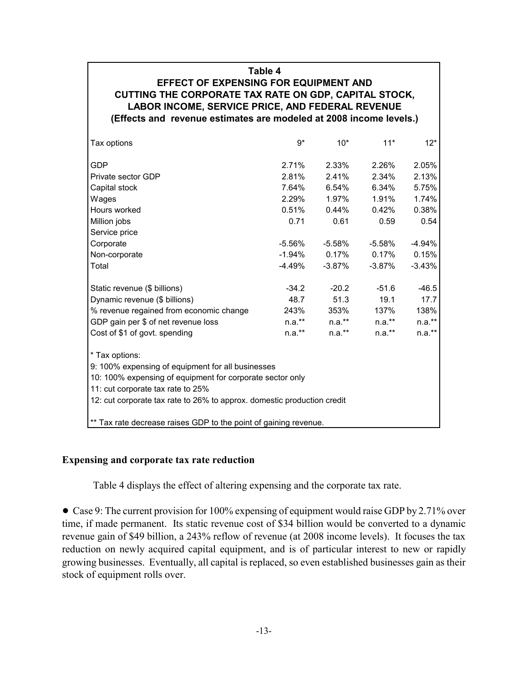# **Table 4 EFFECT OF EXPENSING FOR EQUIPMENT AND CUTTING THE CORPORATE TAX RATE ON GDP, CAPITAL STOCK, LABOR INCOME, SERVICE PRICE, AND FEDERAL REVENUE (Effects and revenue estimates are modeled at 2008 income levels.)**

| Tax options                                                             | $9*$      | $10*$     | $11*$     | $12*$     |  |  |  |
|-------------------------------------------------------------------------|-----------|-----------|-----------|-----------|--|--|--|
| <b>GDP</b>                                                              | 2.71%     | 2.33%     | 2.26%     | 2.05%     |  |  |  |
| Private sector GDP                                                      | 2.81%     | 2.41%     | 2.34%     | 2.13%     |  |  |  |
| Capital stock                                                           | 7.64%     | 6.54%     | 6.34%     | 5.75%     |  |  |  |
| Wages                                                                   | 2.29%     | 1.97%     | 1.91%     | 1.74%     |  |  |  |
| Hours worked                                                            | 0.51%     | $0.44\%$  | $0.42\%$  | 0.38%     |  |  |  |
| Million jobs                                                            | 0.71      | 0.61      | 0.59      | 0.54      |  |  |  |
| Service price                                                           |           |           |           |           |  |  |  |
| Corporate                                                               | $-5.56\%$ | $-5.58\%$ | $-5.58\%$ | -4.94%    |  |  |  |
| Non-corporate                                                           | -1.94%    | $0.17\%$  | $0.17\%$  | 0.15%     |  |  |  |
| Total                                                                   | -4.49%    | -3.87%    | $-3.87\%$ | $-3.43\%$ |  |  |  |
| Static revenue (\$ billions)                                            | $-34.2$   | $-20.2$   | $-51.6$   | $-46.5$   |  |  |  |
| Dynamic revenue (\$ billions)                                           | 48.7      | 51.3      | 19.1      | 17.7      |  |  |  |
| % revenue regained from economic change                                 | 243%      | 353%      | 137%      | 138%      |  |  |  |
| GDP gain per \$ of net revenue loss                                     | n.a.**    | $n.a.***$ | n.a.**    | $n.a.**$  |  |  |  |
| Cost of \$1 of govt. spending                                           | $n.a.***$ | $n.a.*$   | $n.a.*$   | $n.a.***$ |  |  |  |
| * Tax options:                                                          |           |           |           |           |  |  |  |
| 9: 100% expensing of equipment for all businesses                       |           |           |           |           |  |  |  |
| 10: 100% expensing of equipment for corporate sector only               |           |           |           |           |  |  |  |
| 11: cut corporate tax rate to 25%                                       |           |           |           |           |  |  |  |
| 12: cut corporate tax rate to 26% to approx. domestic production credit |           |           |           |           |  |  |  |
| ** Tax rate decrease raises GDP to the point of gaining revenue.        |           |           |           |           |  |  |  |

# **Expensing and corporate tax rate reduction**

Table 4 displays the effect of altering expensing and the corporate tax rate.

• Case 9: The current provision for 100% expensing of equipment would raise GDP by 2.71% over time, if made permanent. Its static revenue cost of \$34 billion would be converted to a dynamic revenue gain of \$49 billion, a 243% reflow of revenue (at 2008 income levels). It focuses the tax reduction on newly acquired capital equipment, and is of particular interest to new or rapidly growing businesses. Eventually, all capital is replaced, so even established businesses gain as their stock of equipment rolls over.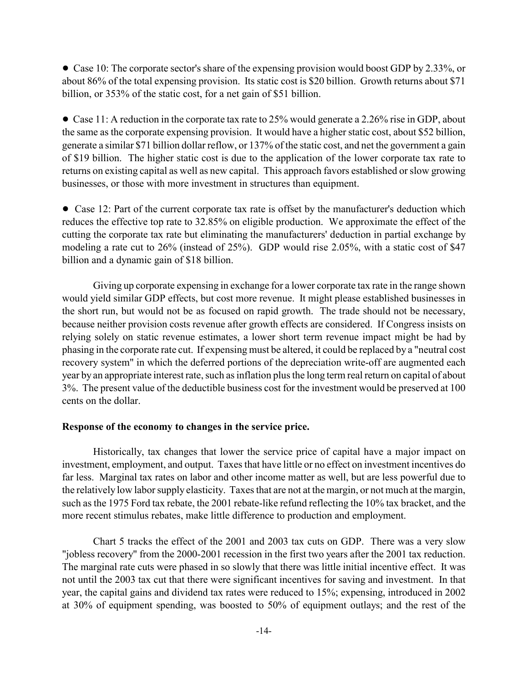• Case 10: The corporate sector's share of the expensing provision would boost GDP by 2.33%, or about 86% of the total expensing provision. Its static cost is \$20 billion. Growth returns about \$71 billion, or 353% of the static cost, for a net gain of \$51 billion.

• Case 11: A reduction in the corporate tax rate to 25% would generate a 2.26% rise in GDP, about the same as the corporate expensing provision. It would have a higher static cost, about \$52 billion, generate a similar \$71 billion dollar reflow, or 137% of the static cost, and net the government a gain of \$19 billion. The higher static cost is due to the application of the lower corporate tax rate to returns on existing capital as well as new capital. This approach favors established or slow growing businesses, or those with more investment in structures than equipment.

• Case 12: Part of the current corporate tax rate is offset by the manufacturer's deduction which reduces the effective top rate to 32.85% on eligible production. We approximate the effect of the cutting the corporate tax rate but eliminating the manufacturers' deduction in partial exchange by modeling a rate cut to 26% (instead of 25%). GDP would rise 2.05%, with a static cost of \$47 billion and a dynamic gain of \$18 billion.

Giving up corporate expensing in exchange for a lower corporate tax rate in the range shown would yield similar GDP effects, but cost more revenue. It might please established businesses in the short run, but would not be as focused on rapid growth. The trade should not be necessary, because neither provision costs revenue after growth effects are considered. If Congress insists on relying solely on static revenue estimates, a lower short term revenue impact might be had by phasing in the corporate rate cut. If expensing must be altered, it could be replaced by a "neutral cost recovery system" in which the deferred portions of the depreciation write-off are augmented each year by an appropriate interest rate, such as inflation plus the long term real return on capital of about 3%. The present value of the deductible business cost for the investment would be preserved at 100 cents on the dollar.

## **Response of the economy to changes in the service price.**

Historically, tax changes that lower the service price of capital have a major impact on investment, employment, and output. Taxes that have little or no effect on investment incentives do far less. Marginal tax rates on labor and other income matter as well, but are less powerful due to the relatively low labor supply elasticity. Taxes that are not at the margin, or not much at the margin, such as the 1975 Ford tax rebate, the 2001 rebate-like refund reflecting the 10% tax bracket, and the more recent stimulus rebates, make little difference to production and employment.

Chart 5 tracks the effect of the 2001 and 2003 tax cuts on GDP. There was a very slow "jobless recovery" from the 2000-2001 recession in the first two years after the 2001 tax reduction. The marginal rate cuts were phased in so slowly that there was little initial incentive effect. It was not until the 2003 tax cut that there were significant incentives for saving and investment. In that year, the capital gains and dividend tax rates were reduced to 15%; expensing, introduced in 2002 at 30% of equipment spending, was boosted to 50% of equipment outlays; and the rest of the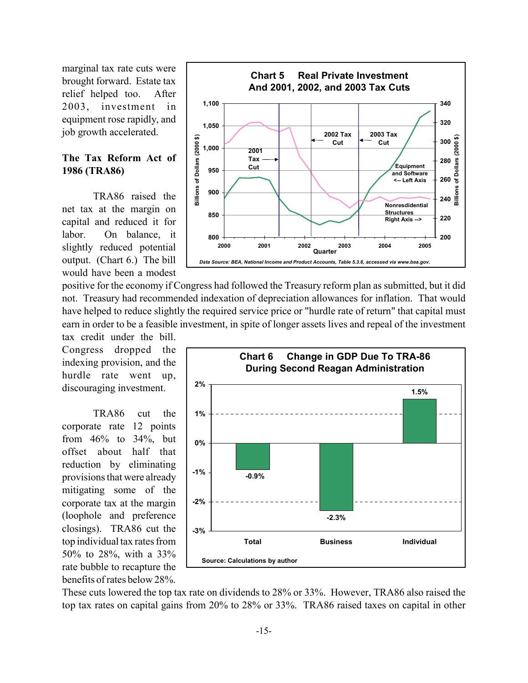marginal tax rate cuts were brought forward. Estate tax relief helped too. After 2003, investment in equipment rose rapidly, and job growth accelerated.

# **The Tax Reform Act of 1986 (TRA86)**

TRA86 raised the net tax at the margin on capital and reduced it for labor. On balance, it slightly reduced potential output. (Chart 6.) The bill would have been a modest



tax credit under the bill. Congress dropped the indexing provision, and the hurdle rate went up, discouraging investment.

TRA86 cut the corporate rate 12 points from 46% to 34%, but offset about half that reduction by eliminating provisions that were already mitigating some of the corporate tax at the margin (loophole and preference closings). TRA86 cut the top individual tax rates from 50% to 28%, with a 33% rate bubble to recapture the benefits of rates below 28%.



These cuts lowered the top tax rate on dividends to 28% or 33%. However, TRA86 also raised the top tax rates on capital gains from 20% to 28% or 33%. TRA86 raised taxes on capital in other

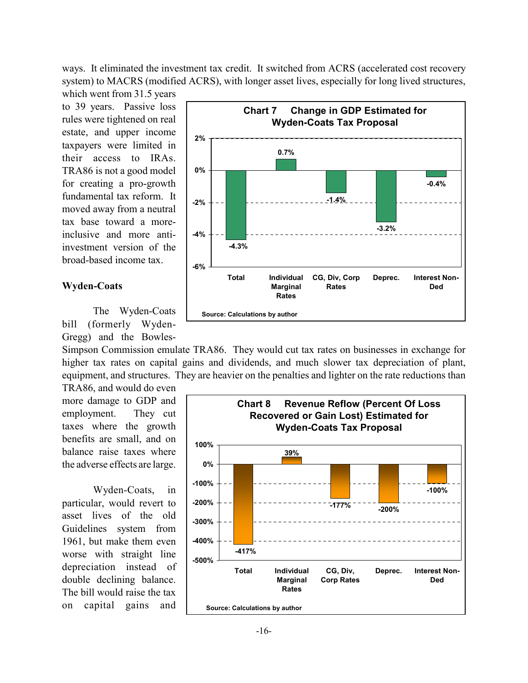ways. It eliminated the investment tax credit. It switched from ACRS (accelerated cost recovery system) to MACRS (modified ACRS), with longer asset lives, especially for long lived structures,

which went from 31.5 years to 39 years. Passive loss rules were tightened on real estate, and upper income taxpayers were limited in their access to IRAs. TRA86 is not a good model for creating a pro-growth fundamental tax reform. It moved away from a neutral tax base toward a moreinclusive and more antiinvestment version of the broad-based income tax.

#### **Wyden-Coats**

The Wyden-Coats bill (formerly Wyden-Gregg) and the Bowles-

Simpson Commission emulate TRA86. They would cut tax rates on businesses in exchange for

more damage to GDP and employment. They cut taxes where the growth benefits are small, and on balance raise taxes where the adverse effects are large.

Wyden-Coats, in particular, would revert to asset lives of the old Guidelines system from 1961, but make them even worse with straight line depreciation instead of double declining balance. The bill would raise the tax on capital gains and



higher tax rates on capital gains and dividends, and much slower tax depreciation of plant, equipment, and structures. They are heavier on the penalties and lighter on the rate reductions than TRA86, and would do even

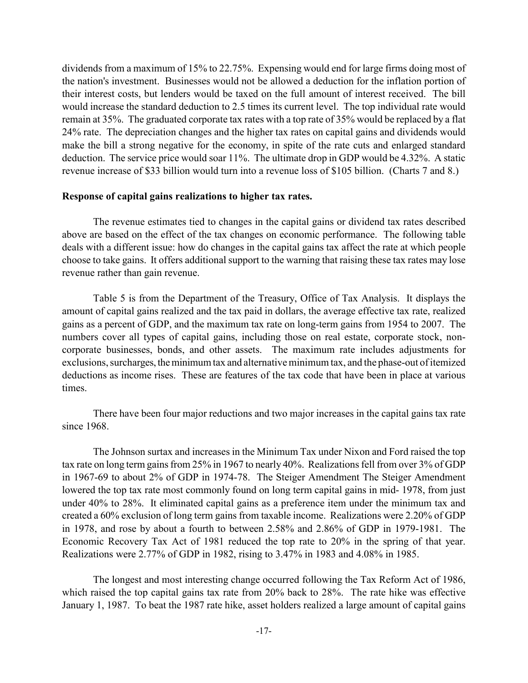dividends from a maximum of 15% to 22.75%. Expensing would end for large firms doing most of the nation's investment. Businesses would not be allowed a deduction for the inflation portion of their interest costs, but lenders would be taxed on the full amount of interest received. The bill would increase the standard deduction to 2.5 times its current level. The top individual rate would remain at 35%. The graduated corporate tax rates with a top rate of 35% would be replaced by a flat 24% rate. The depreciation changes and the higher tax rates on capital gains and dividends would make the bill a strong negative for the economy, in spite of the rate cuts and enlarged standard deduction. The service price would soar 11%. The ultimate drop in GDP would be 4.32%. A static revenue increase of \$33 billion would turn into a revenue loss of \$105 billion. (Charts 7 and 8.)

#### **Response of capital gains realizations to higher tax rates.**

The revenue estimates tied to changes in the capital gains or dividend tax rates described above are based on the effect of the tax changes on economic performance. The following table deals with a different issue: how do changes in the capital gains tax affect the rate at which people choose to take gains. It offers additional support to the warning that raising these tax rates may lose revenue rather than gain revenue.

Table 5 is from the Department of the Treasury, Office of Tax Analysis. It displays the amount of capital gains realized and the tax paid in dollars, the average effective tax rate, realized gains as a percent of GDP, and the maximum tax rate on long-term gains from 1954 to 2007. The numbers cover all types of capital gains, including those on real estate, corporate stock, noncorporate businesses, bonds, and other assets. The maximum rate includes adjustments for exclusions, surcharges, the minimum tax and alternative minimum tax, and the phase-out of itemized deductions as income rises. These are features of the tax code that have been in place at various times.

There have been four major reductions and two major increases in the capital gains tax rate since 1968.

The Johnson surtax and increases in the Minimum Tax under Nixon and Ford raised the top tax rate on long term gains from 25% in 1967 to nearly 40%. Realizations fell from over 3% of GDP in 1967-69 to about 2% of GDP in 1974-78. The Steiger Amendment The Steiger Amendment lowered the top tax rate most commonly found on long term capital gains in mid- 1978, from just under 40% to 28%. It eliminated capital gains as a preference item under the minimum tax and created a 60% exclusion of long term gains from taxable income. Realizations were 2.20% of GDP in 1978, and rose by about a fourth to between 2.58% and 2.86% of GDP in 1979-1981. The Economic Recovery Tax Act of 1981 reduced the top rate to 20% in the spring of that year. Realizations were 2.77% of GDP in 1982, rising to 3.47% in 1983 and 4.08% in 1985.

The longest and most interesting change occurred following the Tax Reform Act of 1986, which raised the top capital gains tax rate from 20% back to 28%. The rate hike was effective January 1, 1987. To beat the 1987 rate hike, asset holders realized a large amount of capital gains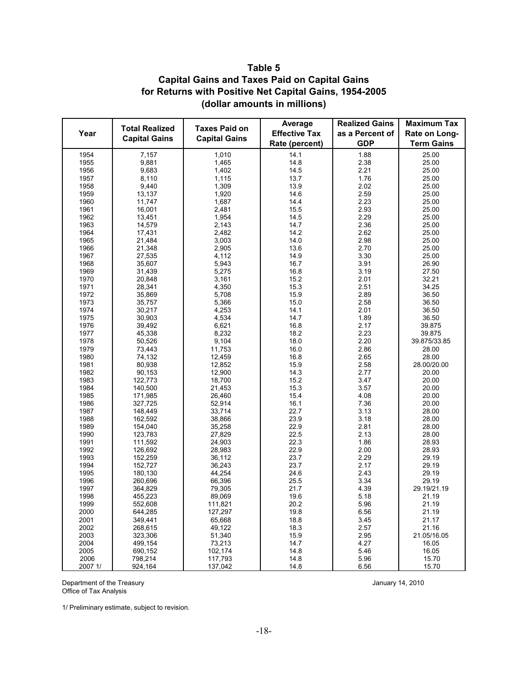# **Table 5 Capital Gains and Taxes Paid on Capital Gains for Returns with Positive Net Capital Gains, 1954-2005 (dollar amounts in millions)**

|              |                       |                      | Average              | <b>Realized Gains</b> | <b>Maximum Tax</b>   |
|--------------|-----------------------|----------------------|----------------------|-----------------------|----------------------|
| Year         | <b>Total Realized</b> | <b>Taxes Paid on</b> | <b>Effective Tax</b> | as a Percent of       | Rate on Long-        |
|              | <b>Capital Gains</b>  | <b>Capital Gains</b> | Rate (percent)       | <b>GDP</b>            | <b>Term Gains</b>    |
| 1954         | 7,157                 | 1,010                | 14.1                 | 1.88                  | 25.00                |
| 1955         | 9,881                 | 1,465                | 14.8                 | 2.38                  | 25.00                |
| 1956         | 9,683                 | 1,402                | 14.5                 | 2.21                  | 25.00                |
| 1957         | 8,110                 | 1,115                | 13.7                 | 1.76                  | 25.00                |
| 1958         | 9,440                 | 1,309                | 13.9                 | 2.02                  | 25.00                |
| 1959         | 13,137                | 1,920                | 14.6                 | 2.59                  | 25.00                |
| 1960         | 11,747                | 1,687                | 14.4                 | 2.23                  | 25.00                |
| 1961         | 16,001                | 2,481                | 15.5                 | 2.93                  | 25.00                |
| 1962         | 13,451                | 1,954                | 14.5                 | 2.29                  | 25.00                |
| 1963         | 14,579                | 2,143                | 14.7                 | 2.36                  | 25.00                |
| 1964         | 17,431                | 2,482                | 14.2                 | 2.62                  | 25.00                |
| 1965         | 21,484                | 3,003                | 14.0                 | 2.98                  | 25.00                |
| 1966         | 21,348                | 2,905                | 13.6                 | 2.70                  | 25.00                |
| 1967         | 27,535                | 4,112                | 14.9                 | 3.30                  | 25.00                |
| 1968         | 35,607                | 5,943                | 16.7                 | 3.91                  | 26.90                |
| 1969         | 31,439                | 5,275                | 16.8                 | 3.19                  | 27.50                |
| 1970         | 20,848                | 3,161                | 15.2                 | 2.01                  | 32.21                |
| 1971         | 28,341                | 4,350                | 15.3                 | 2.51                  | 34.25                |
| 1972         | 35,869                | 5,708                | 15.9                 | 2.89                  | 36.50                |
| 1973         | 35,757                | 5,366                | 15.0                 | 2.58                  | 36.50                |
| 1974         | 30,217                | 4,253                | 14.1                 | 2.01                  | 36.50                |
| 1975         | 30,903                | 4,534                | 14.7                 | 1.89                  | 36.50                |
| 1976         | 39,492                | 6,621                | 16.8                 | 2.17                  | 39.875               |
| 1977         | 45,338                | 8,232                | 18.2                 | 2.23                  | 39.875               |
| 1978         | 50,526                | 9,104                | 18.0                 | 2.20                  | 39.875/33.85         |
| 1979         | 73,443                | 11,753               | 16.0                 | 2.86                  | 28.00                |
| 1980         | 74,132                | 12,459               | 16.8                 | 2.65                  | 28.00                |
| 1981         | 80,938                | 12,852               | 15.9                 | 2.58                  | 28.00/20.00          |
| 1982         | 90,153                | 12,900               | 14.3                 | 2.77                  | 20.00                |
| 1983         | 122,773               | 18,700               | 15.2                 | 3.47                  | 20.00                |
| 1984         | 140,500               | 21,453               | 15.3                 | 3.57                  | 20.00                |
| 1985         | 171,985               | 26,460               | 15.4                 | 4.08                  | 20.00                |
| 1986         | 327,725               | 52,914               | 16.1                 | 7.36                  | 20.00                |
| 1987         | 148,449               | 33,714               | 22.7                 | 3.13                  | 28.00                |
| 1988         | 162,592               | 38,866               | 23.9                 | 3.18                  | 28.00                |
| 1989         | 154,040               | 35,258               | 22.9                 | 2.81                  | 28.00                |
| 1990         | 123,783               | 27,829               | 22.5                 | 2.13                  | 28.00                |
| 1991         | 111,592               | 24,903               | 22.3                 | 1.86                  | 28.93                |
| 1992         | 126,692               | 28,983               | 22.9                 | 2.00                  | 28.93                |
| 1993         | 152,259               | 36,112               | 23.7                 | 2.29                  | 29.19                |
| 1994         | 152,727               | 36,243               | 23.7                 | 2.17                  | 29.19                |
| 1995         | 180,130               | 44,254               | 24.6                 | 2.43                  | 29.19                |
| 1996         | 260,696               | 66,396               | 25.5                 | 3.34                  | 29.19                |
| 1997         | 364,829               | 79,305               | 21.7                 | 4.39                  | 29.19/21.19          |
| 1998         | 455,223               | 89,069               | 19.6                 | 5.18                  | 21.19                |
| 1999         | 552,608               | 111,821              | 20.2                 | 5.96                  | 21.19                |
| 2000         | 644,285               | 127,297              | 19.8                 | 6.56                  | 21.19                |
| 2001         | 349,441               | 65,668               | 18.8                 | 3.45                  | 21.17                |
| 2002         | 268,615               | 49,122               | 18.3                 | 2.57                  | 21.16<br>21.05/16.05 |
| 2003<br>2004 | 323,306<br>499.154    | 51,340<br>73,213     | 15.9<br>14.7         | 2.95<br>4.27          | 16.05                |
| 2005         | 690,152               | 102,174              | 14.8                 | 5.46                  | 16.05                |
| 2006         | 798,214               | 117,793              | 14.8                 | 5.96                  | 15.70                |
| 2007 1/      | 924,164               | 137,042              | 14.8                 | 6.56                  | 15.70                |

Department of the Treasury **Contract Contract Contract Contract Contract Contract Contract Contract Contract Contract Contract Contract Contract Contract Contract Contract Contract Contract Contract Contract Contract Contr** Office of Tax Analysis

1/ Preliminary estimate, subject to revision.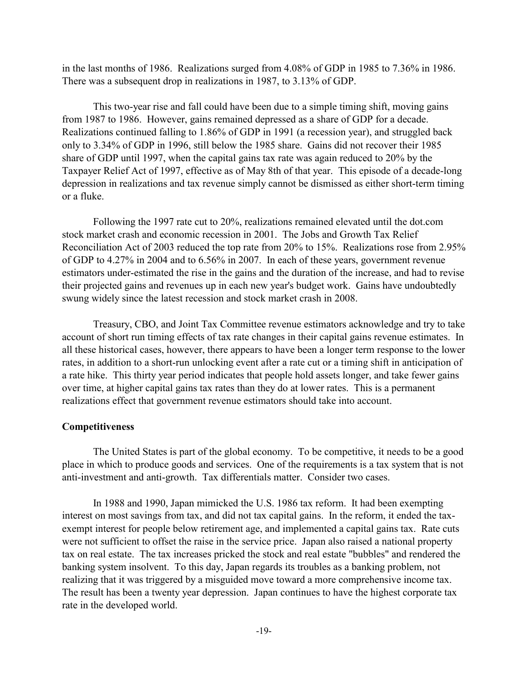in the last months of 1986. Realizations surged from 4.08% of GDP in 1985 to 7.36% in 1986. There was a subsequent drop in realizations in 1987, to 3.13% of GDP.

This two-year rise and fall could have been due to a simple timing shift, moving gains from 1987 to 1986. However, gains remained depressed as a share of GDP for a decade. Realizations continued falling to 1.86% of GDP in 1991 (a recession year), and struggled back only to 3.34% of GDP in 1996, still below the 1985 share. Gains did not recover their 1985 share of GDP until 1997, when the capital gains tax rate was again reduced to 20% by the Taxpayer Relief Act of 1997, effective as of May 8th of that year. This episode of a decade-long depression in realizations and tax revenue simply cannot be dismissed as either short-term timing or a fluke.

Following the 1997 rate cut to 20%, realizations remained elevated until the dot.com stock market crash and economic recession in 2001. The Jobs and Growth Tax Relief Reconciliation Act of 2003 reduced the top rate from 20% to 15%. Realizations rose from 2.95% of GDP to 4.27% in 2004 and to 6.56% in 2007. In each of these years, government revenue estimators under-estimated the rise in the gains and the duration of the increase, and had to revise their projected gains and revenues up in each new year's budget work. Gains have undoubtedly swung widely since the latest recession and stock market crash in 2008.

Treasury, CBO, and Joint Tax Committee revenue estimators acknowledge and try to take account of short run timing effects of tax rate changes in their capital gains revenue estimates. In all these historical cases, however, there appears to have been a longer term response to the lower rates, in addition to a short-run unlocking event after a rate cut or a timing shift in anticipation of a rate hike. This thirty year period indicates that people hold assets longer, and take fewer gains over time, at higher capital gains tax rates than they do at lower rates. This is a permanent realizations effect that government revenue estimators should take into account.

#### **Competitiveness**

The United States is part of the global economy. To be competitive, it needs to be a good place in which to produce goods and services. One of the requirements is a tax system that is not anti-investment and anti-growth. Tax differentials matter. Consider two cases.

In 1988 and 1990, Japan mimicked the U.S. 1986 tax reform. It had been exempting interest on most savings from tax, and did not tax capital gains. In the reform, it ended the taxexempt interest for people below retirement age, and implemented a capital gains tax. Rate cuts were not sufficient to offset the raise in the service price. Japan also raised a national property tax on real estate. The tax increases pricked the stock and real estate "bubbles" and rendered the banking system insolvent. To this day, Japan regards its troubles as a banking problem, not realizing that it was triggered by a misguided move toward a more comprehensive income tax. The result has been a twenty year depression. Japan continues to have the highest corporate tax rate in the developed world.